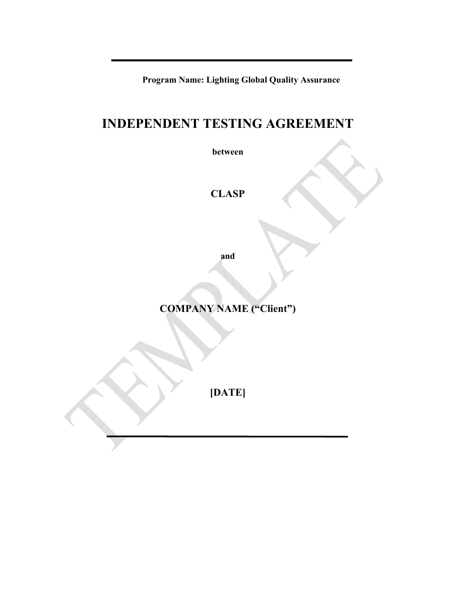**Program Name: Lighting Global Quality Assurance**

# **INDEPENDENT TESTING AGREEMENT**

**between** 

**CLASP**

**and** 

**COMPANY NAME ("Client")**

**[DATE]**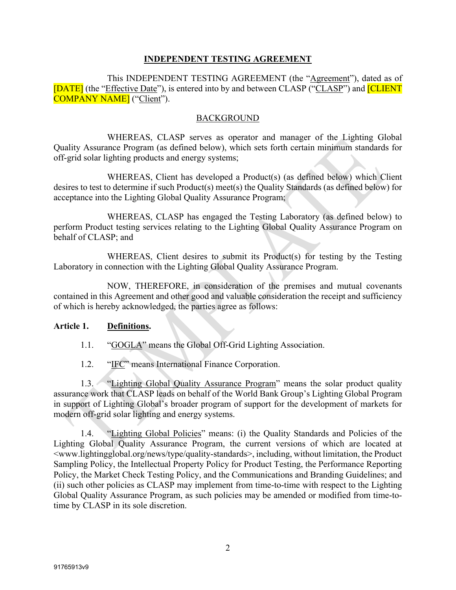### **INDEPENDENT TESTING AGREEMENT**

This INDEPENDENT TESTING AGREEMENT (the "Agreement"), dated as of [DATE] (the "Effective Date"), is entered into by and between CLASP ("CLASP") and [CLIENT COMPANY NAME] ("Client").

#### BACKGROUND

WHEREAS, CLASP serves as operator and manager of the Lighting Global Quality Assurance Program (as defined below), which sets forth certain minimum standards for off-grid solar lighting products and energy systems;

WHEREAS, Client has developed a Product(s) (as defined below) which Client desires to test to determine if such Product(s) meet(s) the Quality Standards (as defined below) for acceptance into the Lighting Global Quality Assurance Program;

WHEREAS, CLASP has engaged the Testing Laboratory (as defined below) to perform Product testing services relating to the Lighting Global Quality Assurance Program on behalf of CLASP; and

WHEREAS, Client desires to submit its Product(s) for testing by the Testing Laboratory in connection with the Lighting Global Quality Assurance Program.

NOW, THEREFORE, in consideration of the premises and mutual covenants contained in this Agreement and other good and valuable consideration the receipt and sufficiency of which is hereby acknowledged, the parties agree as follows:

#### **Article 1. Definitions.**

1.1. "GOGLA" means the Global Off-Grid Lighting Association.

1.2. "IFC" means International Finance Corporation.

1.3. "Lighting Global Quality Assurance Program" means the solar product quality assurance work that CLASP leads on behalf of the World Bank Group's Lighting Global Program in support of Lighting Global's broader program of support for the development of markets for modern off-grid solar lighting and energy systems.

1.4. "Lighting Global Policies" means: (i) the Quality Standards and Policies of the Lighting Global Quality Assurance Program, the current versions of which are located at <www.lightingglobal.org/news/type/quality-standards>, including, without limitation, the Product Sampling Policy, the Intellectual Property Policy for Product Testing, the Performance Reporting Policy, the Market Check Testing Policy, and the Communications and Branding Guidelines; and (ii) such other policies as CLASP may implement from time-to-time with respect to the Lighting Global Quality Assurance Program, as such policies may be amended or modified from time-totime by CLASP in its sole discretion.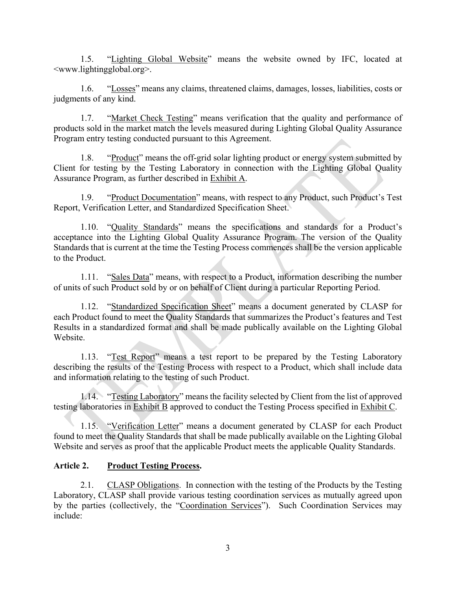1.5. "Lighting Global Website" means the website owned by IFC, located at <www.lightingglobal.org>.

1.6. "Losses" means any claims, threatened claims, damages, losses, liabilities, costs or judgments of any kind.

1.7. "Market Check Testing" means verification that the quality and performance of products sold in the market match the levels measured during Lighting Global Quality Assurance Program entry testing conducted pursuant to this Agreement.

1.8. "Product" means the off-grid solar lighting product or energy system submitted by Client for testing by the Testing Laboratory in connection with the Lighting Global Quality Assurance Program, as further described in Exhibit A.

1.9. "Product Documentation" means, with respect to any Product, such Product's Test Report, Verification Letter, and Standardized Specification Sheet.

1.10. "Quality Standards" means the specifications and standards for a Product's acceptance into the Lighting Global Quality Assurance Program. The version of the Quality Standards that is current at the time the Testing Process commences shall be the version applicable to the Product.

1.11. "Sales Data" means, with respect to a Product, information describing the number of units of such Product sold by or on behalf of Client during a particular Reporting Period.

1.12. "Standardized Specification Sheet" means a document generated by CLASP for each Product found to meet the Quality Standards that summarizes the Product's features and Test Results in a standardized format and shall be made publically available on the Lighting Global Website.

1.13. "Test Report" means a test report to be prepared by the Testing Laboratory describing the results of the Testing Process with respect to a Product, which shall include data and information relating to the testing of such Product.

1.14. "Testing Laboratory" means the facility selected by Client from the list of approved testing laboratories in Exhibit B approved to conduct the Testing Process specified in Exhibit C.

1.15. "Verification Letter" means a document generated by CLASP for each Product found to meet the Quality Standards that shall be made publically available on the Lighting Global Website and serves as proof that the applicable Product meets the applicable Quality Standards.

## **Article 2. Product Testing Process.**

2.1. CLASP Obligations. In connection with the testing of the Products by the Testing Laboratory, CLASP shall provide various testing coordination services as mutually agreed upon by the parties (collectively, the "Coordination Services"). Such Coordination Services may include: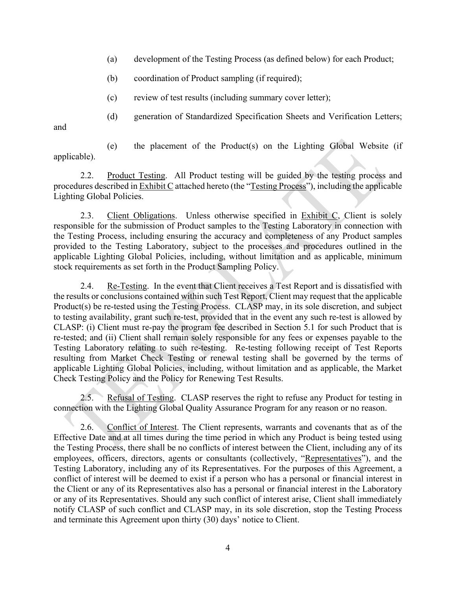- (a) development of the Testing Process (as defined below) for each Product;
- (b) coordination of Product sampling (if required);
- (c) review of test results (including summary cover letter);
- (d) generation of Standardized Specification Sheets and Verification Letters;

and

(e) the placement of the Product(s) on the Lighting Global Website (if applicable).

2.2. Product Testing. All Product testing will be guided by the testing process and procedures described in  $\overline{\text{Exhibit C}}$  attached hereto (the "Testing Process"), including the applicable Lighting Global Policies.

2.3. Client Obligations. Unless otherwise specified in Exhibit C, Client is solely responsible for the submission of Product samples to the Testing Laboratory in connection with the Testing Process, including ensuring the accuracy and completeness of any Product samples provided to the Testing Laboratory, subject to the processes and procedures outlined in the applicable Lighting Global Policies, including, without limitation and as applicable, minimum stock requirements as set forth in the Product Sampling Policy.

2.4. Re-Testing. In the event that Client receives a Test Report and is dissatisfied with the results or conclusions contained within such Test Report, Client may request that the applicable Product(s) be re-tested using the Testing Process. CLASP may, in its sole discretion, and subject to testing availability, grant such re-test, provided that in the event any such re-test is allowed by CLASP: (i) Client must re-pay the program fee described in Section 5.1 for such Product that is re-tested; and (ii) Client shall remain solely responsible for any fees or expenses payable to the Testing Laboratory relating to such re-testing. Re-testing following receipt of Test Reports resulting from Market Check Testing or renewal testing shall be governed by the terms of applicable Lighting Global Policies, including, without limitation and as applicable, the Market Check Testing Policy and the Policy for Renewing Test Results.

2.5. Refusal of Testing. CLASP reserves the right to refuse any Product for testing in connection with the Lighting Global Quality Assurance Program for any reason or no reason.

2.6. Conflict of Interest. The Client represents, warrants and covenants that as of the Effective Date and at all times during the time period in which any Product is being tested using the Testing Process, there shall be no conflicts of interest between the Client, including any of its employees, officers, directors, agents or consultants (collectively, "Representatives"), and the Testing Laboratory, including any of its Representatives. For the purposes of this Agreement, a conflict of interest will be deemed to exist if a person who has a personal or financial interest in the Client or any of its Representatives also has a personal or financial interest in the Laboratory or any of its Representatives. Should any such conflict of interest arise, Client shall immediately notify CLASP of such conflict and CLASP may, in its sole discretion, stop the Testing Process and terminate this Agreement upon thirty (30) days' notice to Client.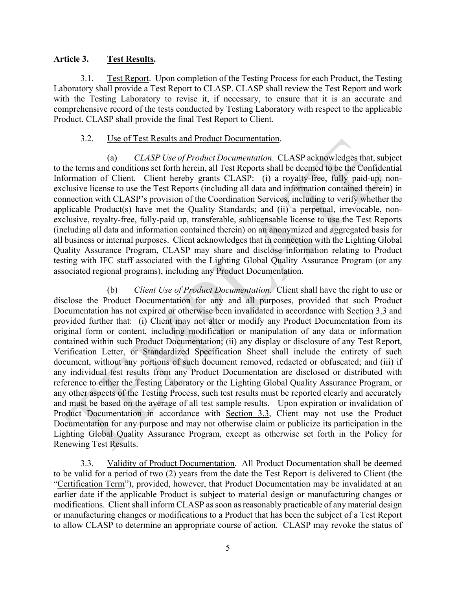#### **Article 3. Test Results.**

3.1. Test Report. Upon completion of the Testing Process for each Product, the Testing Laboratory shall provide a Test Report to CLASP. CLASP shall review the Test Report and work with the Testing Laboratory to revise it, if necessary, to ensure that it is an accurate and comprehensive record of the tests conducted by Testing Laboratory with respect to the applicable Product. CLASP shall provide the final Test Report to Client.

### 3.2. Use of Test Results and Product Documentation.

(a) *CLASP Use of Product Documentation*. CLASP acknowledges that, subject to the terms and conditions set forth herein, all Test Reports shall be deemed to be the Confidential Information of Client. Client hereby grants CLASP: (i) a royalty-free, fully paid-up, nonexclusive license to use the Test Reports (including all data and information contained therein) in connection with CLASP's provision of the Coordination Services, including to verify whether the applicable Product(s) have met the Quality Standards; and (ii) a perpetual, irrevocable, nonexclusive, royalty-free, fully-paid up, transferable, sublicensable license to use the Test Reports (including all data and information contained therein) on an anonymized and aggregated basis for all business or internal purposes. Client acknowledges that in connection with the Lighting Global Quality Assurance Program, CLASP may share and disclose information relating to Product testing with IFC staff associated with the Lighting Global Quality Assurance Program (or any associated regional programs), including any Product Documentation.

(b) *Client Use of Product Documentation.* Client shall have the right to use or disclose the Product Documentation for any and all purposes, provided that such Product Documentation has not expired or otherwise been invalidated in accordance with Section 3.3 and provided further that: (i) Client may not alter or modify any Product Documentation from its original form or content, including modification or manipulation of any data or information contained within such Product Documentation; (ii) any display or disclosure of any Test Report, Verification Letter, or Standardized Specification Sheet shall include the entirety of such document, without any portions of such document removed, redacted or obfuscated; and (iii) if any individual test results from any Product Documentation are disclosed or distributed with reference to either the Testing Laboratory or the Lighting Global Quality Assurance Program, or any other aspects of the Testing Process, such test results must be reported clearly and accurately and must be based on the average of all test sample results. Upon expiration or invalidation of Product Documentation in accordance with Section 3.3, Client may not use the Product Documentation for any purpose and may not otherwise claim or publicize its participation in the Lighting Global Quality Assurance Program, except as otherwise set forth in the Policy for Renewing Test Results.

3.3. Validity of Product Documentation. All Product Documentation shall be deemed to be valid for a period of two (2) years from the date the Test Report is delivered to Client (the "Certification Term"), provided, however, that Product Documentation may be invalidated at an earlier date if the applicable Product is subject to material design or manufacturing changes or modifications. Client shall inform CLASP as soon as reasonably practicable of any material design or manufacturing changes or modifications to a Product that has been the subject of a Test Report to allow CLASP to determine an appropriate course of action. CLASP may revoke the status of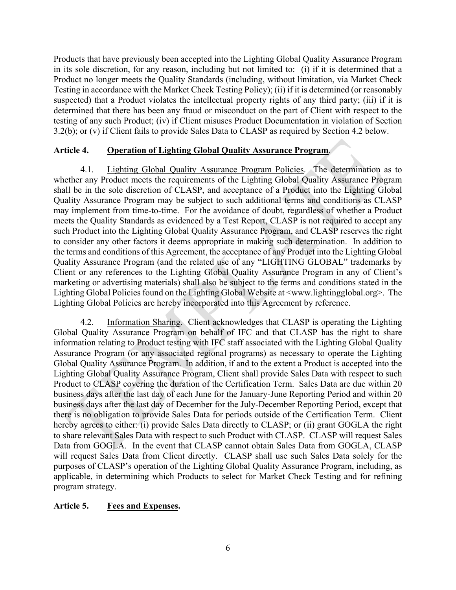Products that have previously been accepted into the Lighting Global Quality Assurance Program in its sole discretion, for any reason, including but not limited to: (i) if it is determined that a Product no longer meets the Quality Standards (including, without limitation, via Market Check Testing in accordance with the Market Check Testing Policy); (ii) if it is determined (or reasonably suspected) that a Product violates the intellectual property rights of any third party; (iii) if it is determined that there has been any fraud or misconduct on the part of Client with respect to the testing of any such Product; (iv) if Client misuses Product Documentation in violation of Section 3.2(b); or (v) if Client fails to provide Sales Data to CLASP as required by Section 4.2 below.

### **Article 4. Operation of Lighting Global Quality Assurance Program**.

4.1. Lighting Global Quality Assurance Program Policies. The determination as to whether any Product meets the requirements of the Lighting Global Quality Assurance Program shall be in the sole discretion of CLASP, and acceptance of a Product into the Lighting Global Quality Assurance Program may be subject to such additional terms and conditions as CLASP may implement from time-to-time. For the avoidance of doubt, regardless of whether a Product meets the Quality Standards as evidenced by a Test Report, CLASP is not required to accept any such Product into the Lighting Global Quality Assurance Program, and CLASP reserves the right to consider any other factors it deems appropriate in making such determination. In addition to the terms and conditions of this Agreement, the acceptance of any Product into the Lighting Global Quality Assurance Program (and the related use of any "LIGHTING GLOBAL" trademarks by Client or any references to the Lighting Global Quality Assurance Program in any of Client's marketing or advertising materials) shall also be subject to the terms and conditions stated in the Lighting Global Policies found on the Lighting Global Website at <www.lightingglobal.org>. The Lighting Global Policies are hereby incorporated into this Agreement by reference.

4.2. Information Sharing. Client acknowledges that CLASP is operating the Lighting Global Quality Assurance Program on behalf of IFC and that CLASP has the right to share information relating to Product testing with IFC staff associated with the Lighting Global Quality Assurance Program (or any associated regional programs) as necessary to operate the Lighting Global Quality Assurance Program. In addition, if and to the extent a Product is accepted into the Lighting Global Quality Assurance Program, Client shall provide Sales Data with respect to such Product to CLASP covering the duration of the Certification Term. Sales Data are due within 20 business days after the last day of each June for the January-June Reporting Period and within 20 business days after the last day of December for the July-December Reporting Period, except that there is no obligation to provide Sales Data for periods outside of the Certification Term. Client hereby agrees to either: (i) provide Sales Data directly to CLASP; or (ii) grant GOGLA the right to share relevant Sales Data with respect to such Product with CLASP. CLASP will request Sales Data from GOGLA. In the event that CLASP cannot obtain Sales Data from GOGLA, CLASP will request Sales Data from Client directly. CLASP shall use such Sales Data solely for the purposes of CLASP's operation of the Lighting Global Quality Assurance Program, including, as applicable, in determining which Products to select for Market Check Testing and for refining program strategy.

#### **Article 5. Fees and Expenses.**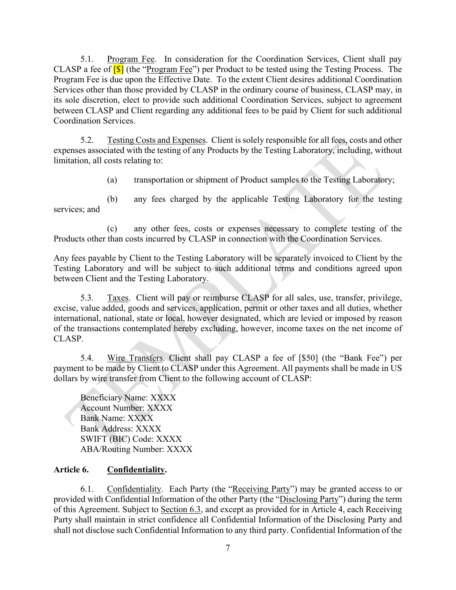5.1. Program Fee. In consideration for the Coordination Services, Client shall pay CLASP a fee of  $\boxed{S}$  (the "Program Fee") per Product to be tested using the Testing Process. The Program Fee is due upon the Effective Date. To the extent Client desires additional Coordination Services other than those provided by CLASP in the ordinary course of business, CLASP may, in its sole discretion, elect to provide such additional Coordination Services, subject to agreement between CLASP and Client regarding any additional fees to be paid by Client for such additional Coordination Services.

5.2. Testing Costs and Expenses. Client is solely responsible for all fees, costs and other expenses associated with the testing of any Products by the Testing Laboratory, including, without limitation, all costs relating to:

(a) transportation or shipment of Product samples to the Testing Laboratory;

(b) any fees charged by the applicable Testing Laboratory for the testing services; and

(c) any other fees, costs or expenses necessary to complete testing of the Products other than costs incurred by CLASP in connection with the Coordination Services.

Any fees payable by Client to the Testing Laboratory will be separately invoiced to Client by the Testing Laboratory and will be subject to such additional terms and conditions agreed upon between Client and the Testing Laboratory.

5.3. Taxes. Client will pay or reimburse CLASP for all sales, use, transfer, privilege, excise, value added, goods and services, application, permit or other taxes and all duties, whether international, national, state or local, however designated, which are levied or imposed by reason of the transactions contemplated hereby excluding, however, income taxes on the net income of CLASP.

5.4. Wire Transfers. Client shall pay CLASP a fee of [\$50] (the "Bank Fee") per payment to be made by Client to CLASP under this Agreement. All payments shall be made in US dollars by wire transfer from Client to the following account of CLASP:

Beneficiary Name: XXXX Account Number: XXXX Bank Name: XXXX Bank Address: XXXX SWIFT (BIC) Code: XXXX ABA/Routing Number: XXXX

## **Article 6. Confidentiality.**

6.1. Confidentiality. Each Party (the "Receiving Party") may be granted access to or provided with Confidential Information of the other Party (the "Disclosing Party") during the term of this Agreement. Subject to Section 6.3, and except as provided for in Article 4, each Receiving Party shall maintain in strict confidence all Confidential Information of the Disclosing Party and shall not disclose such Confidential Information to any third party. Confidential Information of the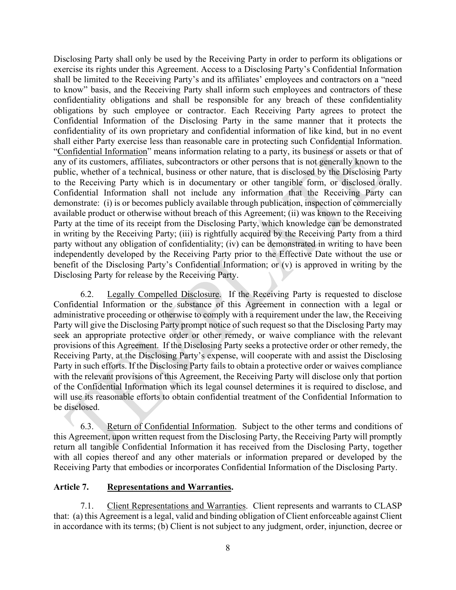Disclosing Party shall only be used by the Receiving Party in order to perform its obligations or exercise its rights under this Agreement. Access to a Disclosing Party's Confidential Information shall be limited to the Receiving Party's and its affiliates' employees and contractors on a "need to know" basis, and the Receiving Party shall inform such employees and contractors of these confidentiality obligations and shall be responsible for any breach of these confidentiality obligations by such employee or contractor. Each Receiving Party agrees to protect the Confidential Information of the Disclosing Party in the same manner that it protects the confidentiality of its own proprietary and confidential information of like kind, but in no event shall either Party exercise less than reasonable care in protecting such Confidential Information. "Confidential Information" means information relating to a party, its business or assets or that of any of its customers, affiliates, subcontractors or other persons that is not generally known to the public, whether of a technical, business or other nature, that is disclosed by the Disclosing Party to the Receiving Party which is in documentary or other tangible form, or disclosed orally. Confidential Information shall not include any information that the Receiving Party can demonstrate: (i) is or becomes publicly available through publication, inspection of commercially available product or otherwise without breach of this Agreement; (ii) was known to the Receiving Party at the time of its receipt from the Disclosing Party, which knowledge can be demonstrated in writing by the Receiving Party; (iii) is rightfully acquired by the Receiving Party from a third party without any obligation of confidentiality; (iv) can be demonstrated in writing to have been independently developed by the Receiving Party prior to the Effective Date without the use or benefit of the Disclosing Party's Confidential Information; or (v) is approved in writing by the Disclosing Party for release by the Receiving Party.

6.2. Legally Compelled Disclosure. If the Receiving Party is requested to disclose Confidential Information or the substance of this Agreement in connection with a legal or administrative proceeding or otherwise to comply with a requirement under the law, the Receiving Party will give the Disclosing Party prompt notice of such request so that the Disclosing Party may seek an appropriate protective order or other remedy, or waive compliance with the relevant provisions of this Agreement. If the Disclosing Party seeks a protective order or other remedy, the Receiving Party, at the Disclosing Party's expense, will cooperate with and assist the Disclosing Party in such efforts. If the Disclosing Party fails to obtain a protective order or waives compliance with the relevant provisions of this Agreement, the Receiving Party will disclose only that portion of the Confidential Information which its legal counsel determines it is required to disclose, and will use its reasonable efforts to obtain confidential treatment of the Confidential Information to be disclosed.

6.3. Return of Confidential Information. Subject to the other terms and conditions of this Agreement, upon written request from the Disclosing Party, the Receiving Party will promptly return all tangible Confidential Information it has received from the Disclosing Party, together with all copies thereof and any other materials or information prepared or developed by the Receiving Party that embodies or incorporates Confidential Information of the Disclosing Party.

#### **Article 7. Representations and Warranties.**

7.1. Client Representations and Warranties. Client represents and warrants to CLASP that: (a) this Agreement is a legal, valid and binding obligation of Client enforceable against Client in accordance with its terms; (b) Client is not subject to any judgment, order, injunction, decree or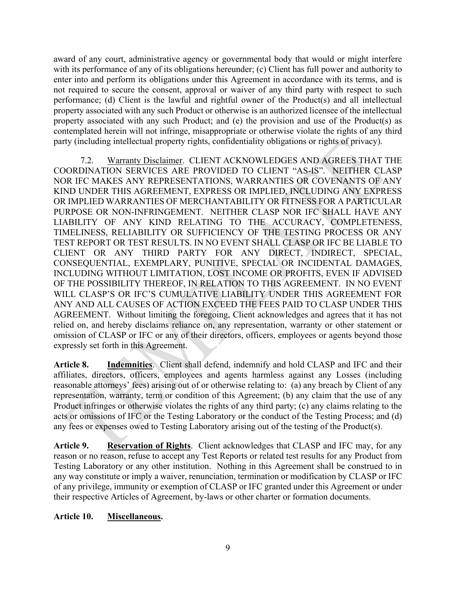award of any court, administrative agency or governmental body that would or might interfere with its performance of any of its obligations hereunder; (c) Client has full power and authority to enter into and perform its obligations under this Agreement in accordance with its terms, and is not required to secure the consent, approval or waiver of any third party with respect to such performance; (d) Client is the lawful and rightful owner of the Product(s) and all intellectual property associated with any such Product or otherwise is an authorized licensee of the intellectual property associated with any such Product; and (e) the provision and use of the Product(s) as contemplated herein will not infringe, misappropriate or otherwise violate the rights of any third party (including intellectual property rights, confidentiality obligations or rights of privacy).

7.2. Warranty Disclaimer. CLIENT ACKNOWLEDGES AND AGREES THAT THE COORDINATION SERVICES ARE PROVIDED TO CLIENT "AS-IS". NEITHER CLASP NOR IFC MAKES ANY REPRESENTATIONS, WARRANTIES OR COVENANTS OF ANY KIND UNDER THIS AGREEMENT, EXPRESS OR IMPLIED, INCLUDING ANY EXPRESS OR IMPLIED WARRANTIES OF MERCHANTABILITY OR FITNESS FOR A PARTICULAR PURPOSE OR NON-INFRINGEMENT. NEITHER CLASP NOR IFC SHALL HAVE ANY LIABILITY OF ANY KIND RELATING TO THE ACCURACY, COMPLETENESS, TIMELINESS, RELIABILITY OR SUFFICIENCY OF THE TESTING PROCESS OR ANY TEST REPORT OR TEST RESULTS. IN NO EVENT SHALL CLASP OR IFC BE LIABLE TO CLIENT OR ANY THIRD PARTY FOR ANY DIRECT, INDIRECT, SPECIAL, CONSEQUENTIAL, EXEMPLARY, PUNITIVE, SPECIAL OR INCIDENTAL DAMAGES, INCLUDING WITHOUT LIMITATION, LOST INCOME OR PROFITS, EVEN IF ADVISED OF THE POSSIBILITY THEREOF, IN RELATION TO THIS AGREEMENT. IN NO EVENT WILL CLASP'S OR IFC'S CUMULATIVE LIABILITY UNDER THIS AGREEMENT FOR ANY AND ALL CAUSES OF ACTION EXCEED THE FEES PAID TO CLASP UNDER THIS AGREEMENT. Without limiting the foregoing, Client acknowledges and agrees that it has not relied on, and hereby disclaims reliance on, any representation, warranty or other statement or omission of CLASP or IFC or any of their directors, officers, employees or agents beyond those expressly set forth in this Agreement.

**Article 8. Indemnities**. Client shall defend, indemnify and hold CLASP and IFC and their affiliates, directors, officers, employees and agents harmless against any Losses (including reasonable attorneys' fees) arising out of or otherwise relating to: (a) any breach by Client of any representation, warranty, term or condition of this Agreement; (b) any claim that the use of any Product infringes or otherwise violates the rights of any third party; (c) any claims relating to the acts or omissions of IFC or the Testing Laboratory or the conduct of the Testing Process; and (d) any fees or expenses owed to Testing Laboratory arising out of the testing of the Product(s).

**Article 9. Reservation of Rights**. Client acknowledges that CLASP and IFC may, for any reason or no reason, refuse to accept any Test Reports or related test results for any Product from Testing Laboratory or any other institution. Nothing in this Agreement shall be construed to in any way constitute or imply a waiver, renunciation, termination or modification by CLASP or IFC of any privilege, immunity or exemption of CLASP or IFC granted under this Agreement or under their respective Articles of Agreement, by-laws or other charter or formation documents.

## **Article 10. Miscellaneous.**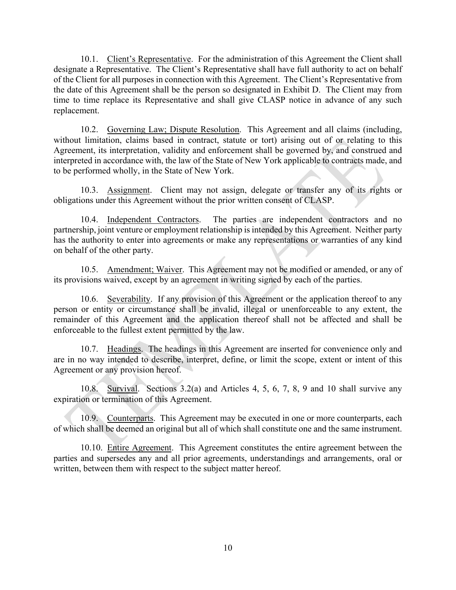10.1. Client's Representative. For the administration of this Agreement the Client shall designate a Representative. The Client's Representative shall have full authority to act on behalf of the Client for all purposes in connection with this Agreement. The Client's Representative from the date of this Agreement shall be the person so designated in Exhibit D. The Client may from time to time replace its Representative and shall give CLASP notice in advance of any such replacement.

10.2. Governing Law; Dispute Resolution. This Agreement and all claims (including, without limitation, claims based in contract, statute or tort) arising out of or relating to this Agreement, its interpretation, validity and enforcement shall be governed by, and construed and interpreted in accordance with, the law of the State of New York applicable to contracts made, and to be performed wholly, in the State of New York.

10.3. Assignment. Client may not assign, delegate or transfer any of its rights or obligations under this Agreement without the prior written consent of CLASP.

10.4. Independent Contractors. The parties are independent contractors and no partnership, joint venture or employment relationship is intended by this Agreement. Neither party has the authority to enter into agreements or make any representations or warranties of any kind on behalf of the other party.

10.5. Amendment; Waiver. This Agreement may not be modified or amended, or any of its provisions waived, except by an agreement in writing signed by each of the parties.

10.6. Severability. If any provision of this Agreement or the application thereof to any person or entity or circumstance shall be invalid, illegal or unenforceable to any extent, the remainder of this Agreement and the application thereof shall not be affected and shall be enforceable to the fullest extent permitted by the law.

10.7. Headings. The headings in this Agreement are inserted for convenience only and are in no way intended to describe, interpret, define, or limit the scope, extent or intent of this Agreement or any provision hereof.

10.8. Survival. Sections 3.2(a) and Articles 4, 5, 6, 7, 8, 9 and 10 shall survive any expiration or termination of this Agreement.

10.9. Counterparts. This Agreement may be executed in one or more counterparts, each of which shall be deemed an original but all of which shall constitute one and the same instrument.

10.10. Entire Agreement. This Agreement constitutes the entire agreement between the parties and supersedes any and all prior agreements, understandings and arrangements, oral or written, between them with respect to the subject matter hereof.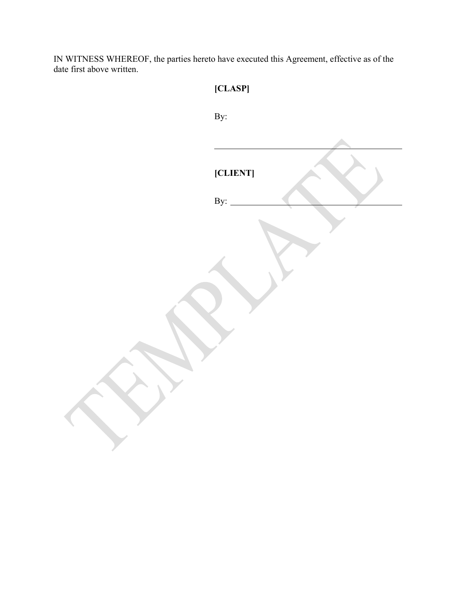IN WITNESS WHEREOF, the parties hereto have executed this Agreement, effective as of the date first above written.

| [CLASP]                                  |
|------------------------------------------|
| By:                                      |
|                                          |
| [CLIENT]<br>By: $\overline{\phantom{0}}$ |
|                                          |
|                                          |
|                                          |
|                                          |
|                                          |
|                                          |
|                                          |
|                                          |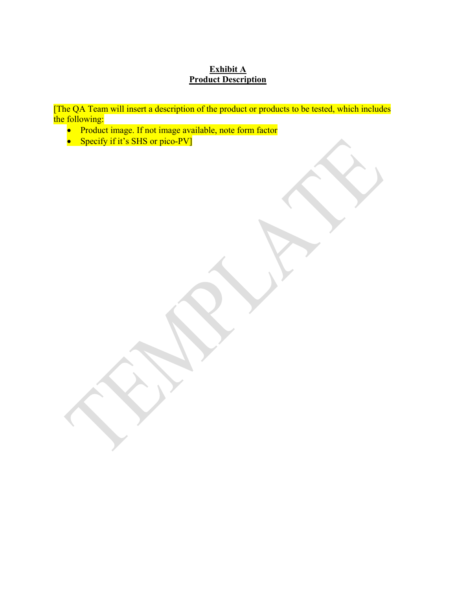# **Exhibit A Product Description**

[The QA Team will insert a description of the product or products to be tested, which includes the following:

- Product image. If not image available, note form factor
- Specify if it's SHS or pico-PV]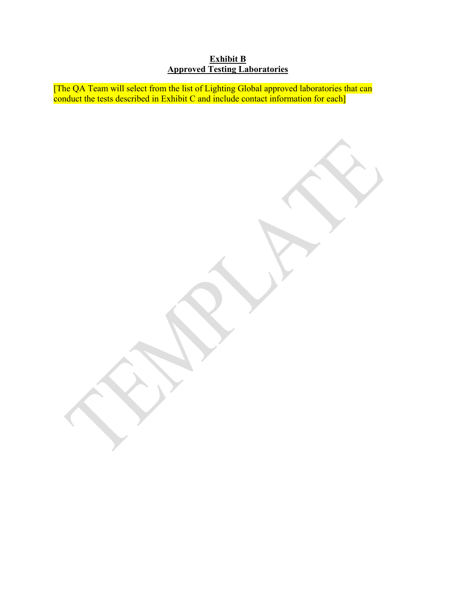## **Exhibit B Approved Testing Laboratories**

[The QA Team will select from the list of Lighting Global approved laboratories that can conduct the tests described in Exhibit C and include contact information for each]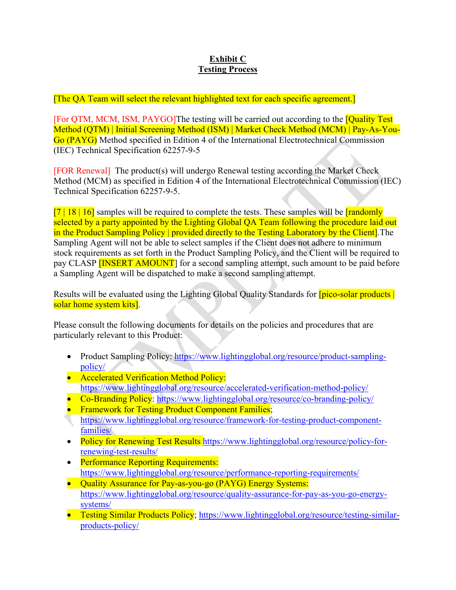## **Exhibit C Testing Process**

[The QA Team will select the relevant highlighted text for each specific agreement.]

[For QTM, MCM, ISM, PAYGO]The testing will be carried out according to the [Quality Test Method (QTM) | Initial Screening Method (ISM) | Market Check Method (MCM) | Pay-As-You-Go (PAYG) Method specified in Edition 4 of the International Electrotechnical Commission (IEC) Technical Specification 62257-9-5

[FOR Renewal] The product(s) will undergo Renewal testing according the Market Check Method (MCM) as specified in Edition 4 of the International Electrotechnical Commission (IEC) Technical Specification 62257-9-5.

 $[7 \mid 18 \mid 16]$  samples will be required to complete the tests. These samples will be **[randomly** selected by a party appointed by the Lighting Global OA Team following the procedure laid out in the Product Sampling Policy | provided directly to the Testing Laboratory by the Client]. The Sampling Agent will not be able to select samples if the Client does not adhere to minimum stock requirements as set forth in the Product Sampling Policy, and the Client will be required to pay CLASP **[INSERT AMOUNT**] for a second sampling attempt, such amount to be paid before a Sampling Agent will be dispatched to make a second sampling attempt.

Results will be evaluated using the Lighting Global Quality Standards for **[pico-solar products**] solar home system kits].

Please consult the following documents for details on the policies and procedures that are particularly relevant to this Product:

- Product Sampling Policy: [https://www.lightingglobal.org/resource/product-sampling](https://www.lightingglobal.org/resource/product-sampling-policy/)[policy/](https://www.lightingglobal.org/resource/product-sampling-policy/)
- Accelerated Verification Method Policy: <https://www.lightingglobal.org/resource/accelerated-verification-method-policy/>
- Co-Branding Policy:<https://www.lightingglobal.org/resource/co-branding-policy/>
- Framework for Testing Product Component Families; [https://www.lightingglobal.org/resource/framework-for-testing-product-component](https://www.lightingglobal.org/resource/framework-for-testing-product-component-families/)[families/](https://www.lightingglobal.org/resource/framework-for-testing-product-component-families/)
- Policy for Renewing Test Results [https://www.lightingglobal.org/resource/policy-for](https://www.lightingglobal.org/resource/policy-for-renewing-test-results/)[renewing-test-results/](https://www.lightingglobal.org/resource/policy-for-renewing-test-results/)
- Performance Reporting Requirements: <https://www.lightingglobal.org/resource/performance-reporting-requirements/>
- Quality Assurance for Pay-as-you-go (PAYG) Energy Systems: [https://www.lightingglobal.org/resource/quality-assurance-for-pay-as-you-go-energy](https://www.lightingglobal.org/resource/quality-assurance-for-pay-as-you-go-energy-systems/)[systems/](https://www.lightingglobal.org/resource/quality-assurance-for-pay-as-you-go-energy-systems/)
- Testing Similar Products Policy; [https://www.lightingglobal.org/resource/testing-similar](https://www.lightingglobal.org/resource/testing-similar-products-policy/)[products-policy/](https://www.lightingglobal.org/resource/testing-similar-products-policy/)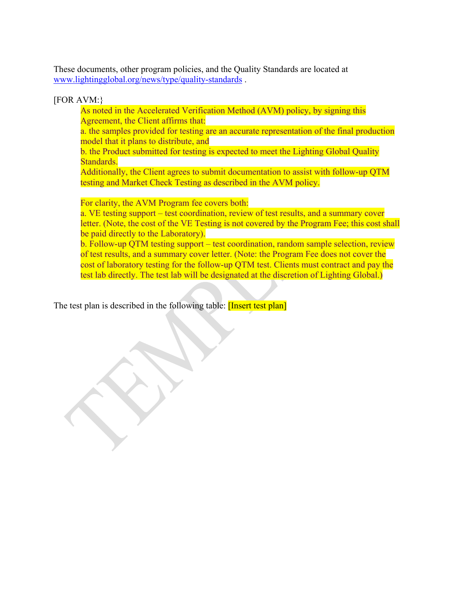These documents, other program policies, and the Quality Standards are located at [www.lightingglobal.org/news/type/quality-standards](http://www.lightingglobal.org/news/type/quality-standards) .

#### [FOR AVM:}

As noted in the Accelerated Verification Method (AVM) policy, by signing this Agreement, the Client affirms that:

a. the samples provided for testing are an accurate representation of the final production model that it plans to distribute, and

b. the Product submitted for testing is expected to meet the Lighting Global Quality Standards.

Additionally, the Client agrees to submit documentation to assist with follow-up QTM testing and Market Check Testing as described in the AVM policy.

For clarity, the AVM Program fee covers both:

a. VE testing support – test coordination, review of test results, and a summary cover letter. (Note, the cost of the VE Testing is not covered by the Program Fee; this cost shall be paid directly to the Laboratory).

b. Follow-up QTM testing support – test coordination, random sample selection, review of test results, and a summary cover letter. (Note: the Program Fee does not cover the cost of laboratory testing for the follow-up QTM test. Clients must contract and pay the test lab directly. The test lab will be designated at the discretion of Lighting Global.)

The test plan is described in the following table: **[Insert test plan]**